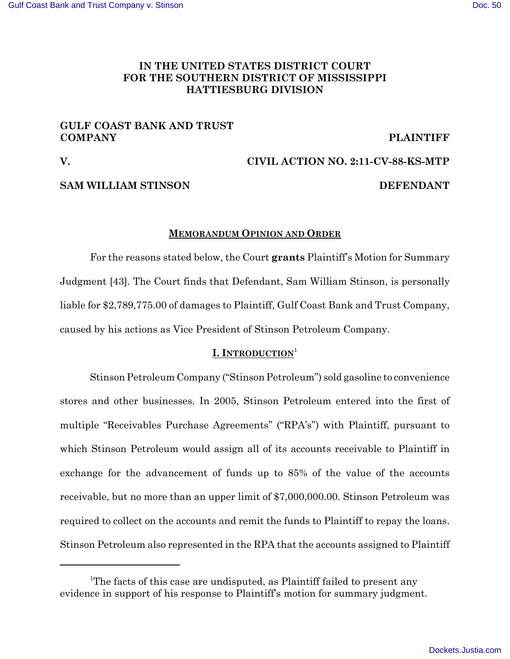# **IN THE UNITED STATES DISTRICT COURT FOR THE SOUTHERN DISTRICT OF MISSISSIPPI HATTIESBURG DIVISION**

# **GULF COAST BANK AND TRUST COMPANY PLAINTIFF**

# **V. CIVIL ACTION NO. 2:11-CV-88-KS-MTP**

# **SAM WILLIAM STINSON DEFENDANT**

# **MEMORANDUM OPINION AND ORDER**

For the reasons stated below, the Court **grants** Plaintiff's Motion for Summary Judgment [43]. The Court finds that Defendant, Sam William Stinson, is personally liable for \$2,789,775.00 of damages to Plaintiff, Gulf Coast Bank and Trust Company, caused by his actions as Vice President of Stinson Petroleum Company.

# **I. INTRODUCTION**<sup>1</sup>

Stinson Petroleum Company ("Stinson Petroleum") sold gasoline to convenience stores and other businesses. In 2005, Stinson Petroleum entered into the first of multiple "Receivables Purchase Agreements" ("RPA's") with Plaintiff, pursuant to which Stinson Petroleum would assign all of its accounts receivable to Plaintiff in exchange for the advancement of funds up to 85% of the value of the accounts receivable, but no more than an upper limit of \$7,000,000.00. Stinson Petroleum was required to collect on the accounts and remit the funds to Plaintiff to repay the loans. Stinson Petroleum also represented in the RPA that the accounts assigned to Plaintiff

<sup>&</sup>lt;sup>1</sup>The facts of this case are undisputed, as Plaintiff failed to present any evidence in support of his response to Plaintiff's motion for summary judgment.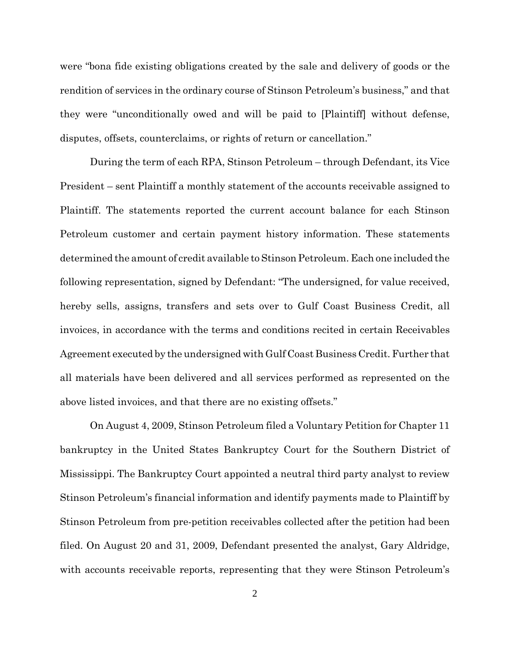were "bona fide existing obligations created by the sale and delivery of goods or the rendition of services in the ordinary course of Stinson Petroleum's business," and that they were "unconditionally owed and will be paid to [Plaintiff] without defense, disputes, offsets, counterclaims, or rights of return or cancellation."

During the term of each RPA, Stinson Petroleum – through Defendant, its Vice President – sent Plaintiff a monthly statement of the accounts receivable assigned to Plaintiff. The statements reported the current account balance for each Stinson Petroleum customer and certain payment history information. These statements determined the amount of credit available to Stinson Petroleum. Each one included the following representation, signed by Defendant: "The undersigned, for value received, hereby sells, assigns, transfers and sets over to Gulf Coast Business Credit, all invoices, in accordance with the terms and conditions recited in certain Receivables Agreement executed by the undersigned with Gulf Coast Business Credit. Further that all materials have been delivered and all services performed as represented on the above listed invoices, and that there are no existing offsets."

On August 4, 2009, Stinson Petroleum filed a Voluntary Petition for Chapter 11 bankruptcy in the United States Bankruptcy Court for the Southern District of Mississippi. The Bankruptcy Court appointed a neutral third party analyst to review Stinson Petroleum's financial information and identify payments made to Plaintiff by Stinson Petroleum from pre-petition receivables collected after the petition had been filed. On August 20 and 31, 2009, Defendant presented the analyst, Gary Aldridge, with accounts receivable reports, representing that they were Stinson Petroleum's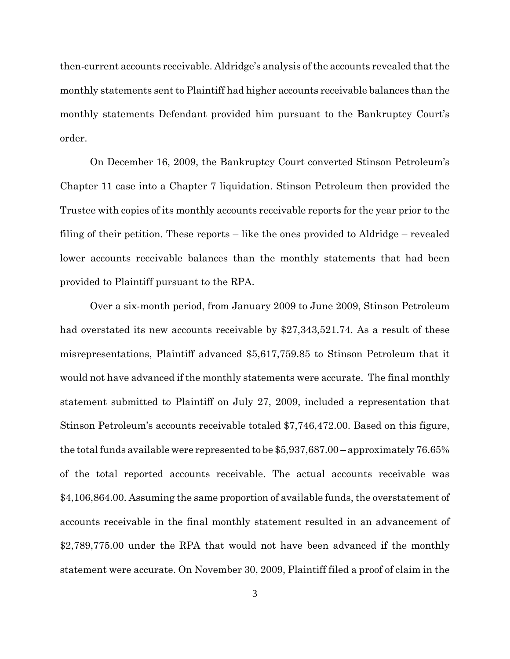then-current accounts receivable. Aldridge's analysis of the accounts revealed that the monthly statements sent to Plaintiff had higher accounts receivable balances than the monthly statements Defendant provided him pursuant to the Bankruptcy Court's order.

On December 16, 2009, the Bankruptcy Court converted Stinson Petroleum's Chapter 11 case into a Chapter 7 liquidation. Stinson Petroleum then provided the Trustee with copies of its monthly accounts receivable reports for the year prior to the filing of their petition. These reports – like the ones provided to Aldridge – revealed lower accounts receivable balances than the monthly statements that had been provided to Plaintiff pursuant to the RPA.

Over a six-month period, from January 2009 to June 2009, Stinson Petroleum had overstated its new accounts receivable by \$27,343,521.74. As a result of these misrepresentations, Plaintiff advanced \$5,617,759.85 to Stinson Petroleum that it would not have advanced if the monthly statements were accurate. The final monthly statement submitted to Plaintiff on July 27, 2009, included a representation that Stinson Petroleum's accounts receivable totaled \$7,746,472.00. Based on this figure, the total funds available were represented to be \$5,937,687.00 – approximately 76.65% of the total reported accounts receivable. The actual accounts receivable was \$4,106,864.00. Assuming the same proportion of available funds, the overstatement of accounts receivable in the final monthly statement resulted in an advancement of \$2,789,775.00 under the RPA that would not have been advanced if the monthly statement were accurate. On November 30, 2009, Plaintiff filed a proof of claim in the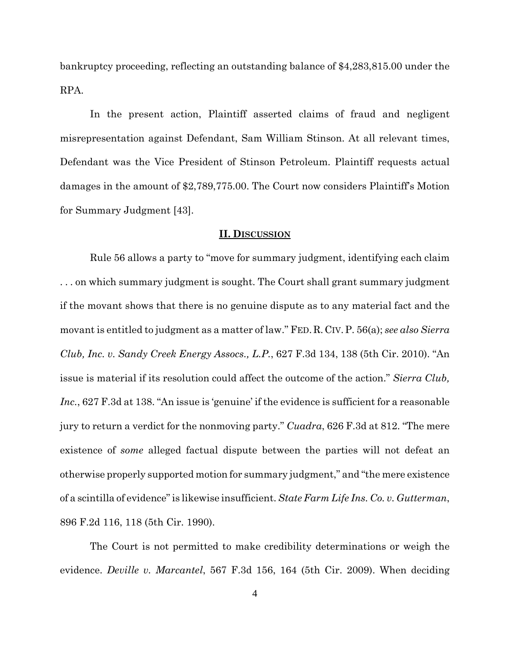bankruptcy proceeding, reflecting an outstanding balance of \$4,283,815.00 under the RPA.

In the present action, Plaintiff asserted claims of fraud and negligent misrepresentation against Defendant, Sam William Stinson. At all relevant times, Defendant was the Vice President of Stinson Petroleum. Plaintiff requests actual damages in the amount of \$2,789,775.00. The Court now considers Plaintiff's Motion for Summary Judgment [43].

### **II. DISCUSSION**

Rule 56 allows a party to "move for summary judgment, identifying each claim . . . on which summary judgment is sought. The Court shall grant summary judgment if the movant shows that there is no genuine dispute as to any material fact and the movant is entitled to judgment as a matter of law." FED.R.CIV.P. 56(a); *see also Sierra Club, Inc. v. Sandy Creek Energy Assocs., L.P.*, 627 F.3d 134, 138 (5th Cir. 2010). "An issue is material if its resolution could affect the outcome of the action." *Sierra Club, Inc.*, 627 F.3d at 138. "An issue is 'genuine' if the evidence is sufficient for a reasonable jury to return a verdict for the nonmoving party." *Cuadra*, 626 F.3d at 812. "The mere existence of *some* alleged factual dispute between the parties will not defeat an otherwise properly supported motion for summary judgment," and "the mere existence of a scintilla of evidence" is likewise insufficient. *State Farm Life Ins. Co. v. Gutterman*, 896 F.2d 116, 118 (5th Cir. 1990).

The Court is not permitted to make credibility determinations or weigh the evidence. *Deville v. Marcantel*, 567 F.3d 156, 164 (5th Cir. 2009). When deciding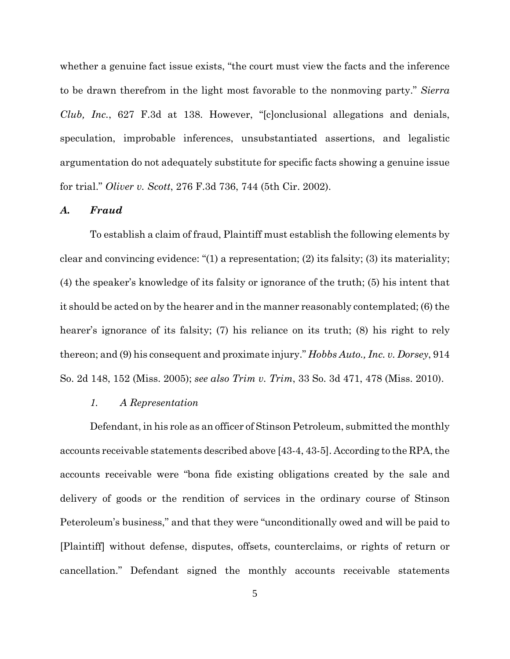whether a genuine fact issue exists, "the court must view the facts and the inference to be drawn therefrom in the light most favorable to the nonmoving party." *Sierra Club, Inc.*, 627 F.3d at 138. However, "[c]onclusional allegations and denials, speculation, improbable inferences, unsubstantiated assertions, and legalistic argumentation do not adequately substitute for specific facts showing a genuine issue for trial." *Oliver v. Scott*, 276 F.3d 736, 744 (5th Cir. 2002).

#### *A. Fraud*

To establish a claim of fraud, Plaintiff must establish the following elements by clear and convincing evidence: "(1) a representation; (2) its falsity; (3) its materiality; (4) the speaker's knowledge of its falsity or ignorance of the truth; (5) his intent that it should be acted on by the hearer and in the manner reasonably contemplated; (6) the hearer's ignorance of its falsity; (7) his reliance on its truth; (8) his right to rely thereon; and (9) his consequent and proximate injury." *Hobbs Auto., Inc. v. Dorsey*, 914 So. 2d 148, 152 (Miss. 2005); *see also Trim v. Trim*, 33 So. 3d 471, 478 (Miss. 2010).

## *1. A Representation*

Defendant, in his role as an officer of Stinson Petroleum, submitted the monthly accounts receivable statements described above [43-4, 43-5]. According to the RPA, the accounts receivable were "bona fide existing obligations created by the sale and delivery of goods or the rendition of services in the ordinary course of Stinson Peteroleum's business," and that they were "unconditionally owed and will be paid to [Plaintiff] without defense, disputes, offsets, counterclaims, or rights of return or cancellation." Defendant signed the monthly accounts receivable statements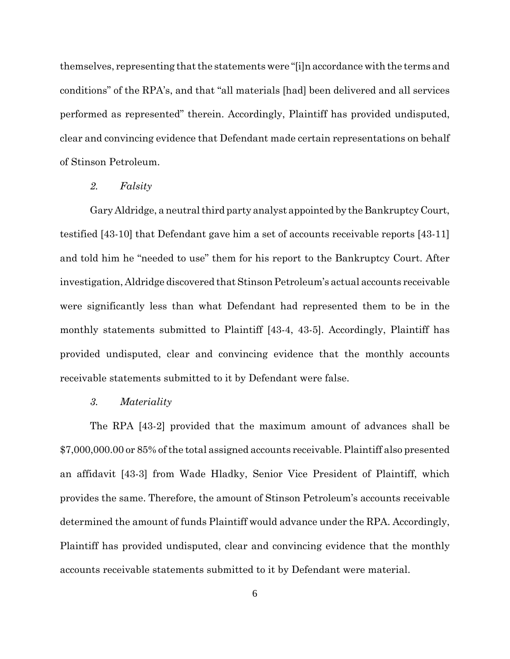themselves, representing that the statements were "[i]n accordance with the terms and conditions" of the RPA's, and that "all materials [had] been delivered and all services performed as represented" therein. Accordingly, Plaintiff has provided undisputed, clear and convincing evidence that Defendant made certain representations on behalf of Stinson Petroleum.

#### *2. Falsity*

Gary Aldridge, a neutral third party analyst appointed by the Bankruptcy Court, testified [43-10] that Defendant gave him a set of accounts receivable reports [43-11] and told him he "needed to use" them for his report to the Bankruptcy Court. After investigation, Aldridge discovered that Stinson Petroleum's actual accounts receivable were significantly less than what Defendant had represented them to be in the monthly statements submitted to Plaintiff [43-4, 43-5]. Accordingly, Plaintiff has provided undisputed, clear and convincing evidence that the monthly accounts receivable statements submitted to it by Defendant were false.

# *3. Materiality*

The RPA [43-2] provided that the maximum amount of advances shall be \$7,000,000.00 or 85% of the total assigned accounts receivable. Plaintiff also presented an affidavit [43-3] from Wade Hladky, Senior Vice President of Plaintiff, which provides the same. Therefore, the amount of Stinson Petroleum's accounts receivable determined the amount of funds Plaintiff would advance under the RPA. Accordingly, Plaintiff has provided undisputed, clear and convincing evidence that the monthly accounts receivable statements submitted to it by Defendant were material.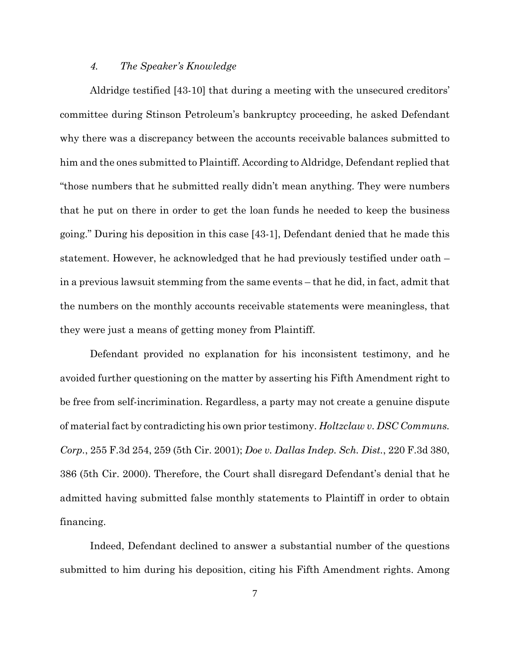## *4. The Speaker's Knowledge*

Aldridge testified [43-10] that during a meeting with the unsecured creditors' committee during Stinson Petroleum's bankruptcy proceeding, he asked Defendant why there was a discrepancy between the accounts receivable balances submitted to him and the ones submitted to Plaintiff. According to Aldridge, Defendant replied that "those numbers that he submitted really didn't mean anything. They were numbers that he put on there in order to get the loan funds he needed to keep the business going." During his deposition in this case [43-1], Defendant denied that he made this statement. However, he acknowledged that he had previously testified under oath – in a previous lawsuit stemming from the same events – that he did, in fact, admit that the numbers on the monthly accounts receivable statements were meaningless, that they were just a means of getting money from Plaintiff.

Defendant provided no explanation for his inconsistent testimony, and he avoided further questioning on the matter by asserting his Fifth Amendment right to be free from self-incrimination. Regardless, a party may not create a genuine dispute of material fact by contradicting his own prior testimony. *Holtzclaw v. DSC Communs. Corp.*, 255 F.3d 254, 259 (5th Cir. 2001); *Doe v. Dallas Indep. Sch. Dist.*, 220 F.3d 380, 386 (5th Cir. 2000). Therefore, the Court shall disregard Defendant's denial that he admitted having submitted false monthly statements to Plaintiff in order to obtain financing.

Indeed, Defendant declined to answer a substantial number of the questions submitted to him during his deposition, citing his Fifth Amendment rights. Among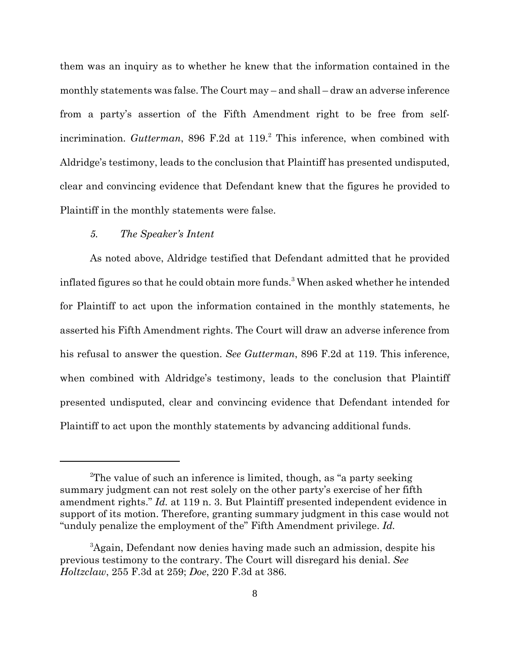them was an inquiry as to whether he knew that the information contained in the monthly statements was false. The Court may – and shall – draw an adverse inference from a party's assertion of the Fifth Amendment right to be free from selfincrimination. *Gutterman*, 896 F.2d at 119.<sup>2</sup> This inference, when combined with Aldridge's testimony, leads to the conclusion that Plaintiff has presented undisputed, clear and convincing evidence that Defendant knew that the figures he provided to Plaintiff in the monthly statements were false.

### *5. The Speaker's Intent*

As noted above, Aldridge testified that Defendant admitted that he provided inflated figures so that he could obtain more funds.<sup>3</sup> When asked whether he intended for Plaintiff to act upon the information contained in the monthly statements, he asserted his Fifth Amendment rights. The Court will draw an adverse inference from his refusal to answer the question. *See Gutterman*, 896 F.2d at 119. This inference, when combined with Aldridge's testimony, leads to the conclusion that Plaintiff presented undisputed, clear and convincing evidence that Defendant intended for Plaintiff to act upon the monthly statements by advancing additional funds.

<sup>2</sup>The value of such an inference is limited, though, as "a party seeking summary judgment can not rest solely on the other party's exercise of her fifth amendment rights." *Id.* at 119 n. 3. But Plaintiff presented independent evidence in support of its motion. Therefore, granting summary judgment in this case would not "unduly penalize the employment of the" Fifth Amendment privilege. *Id.*

<sup>&</sup>lt;sup>3</sup>Again, Defendant now denies having made such an admission, despite his previous testimony to the contrary. The Court will disregard his denial. *See Holtzclaw*, 255 F.3d at 259; *Doe*, 220 F.3d at 386.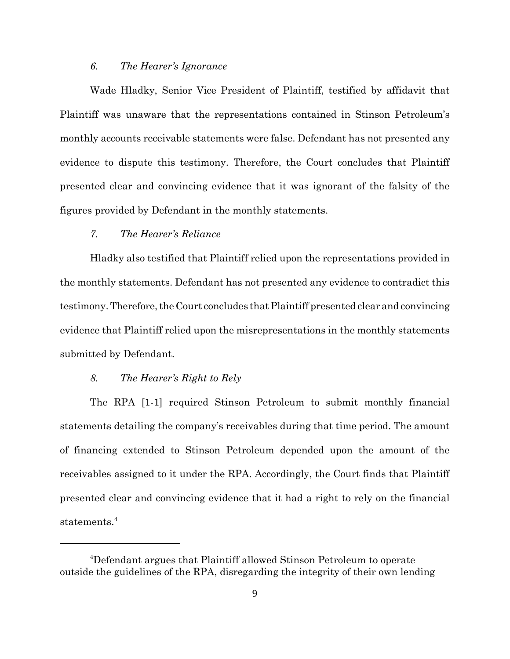### *6. The Hearer's Ignorance*

Wade Hladky, Senior Vice President of Plaintiff, testified by affidavit that Plaintiff was unaware that the representations contained in Stinson Petroleum's monthly accounts receivable statements were false. Defendant has not presented any evidence to dispute this testimony. Therefore, the Court concludes that Plaintiff presented clear and convincing evidence that it was ignorant of the falsity of the figures provided by Defendant in the monthly statements.

# *7. The Hearer's Reliance*

Hladky also testified that Plaintiff relied upon the representations provided in the monthly statements. Defendant has not presented any evidence to contradict this testimony. Therefore, the Court concludes that Plaintiff presented clear and convincing evidence that Plaintiff relied upon the misrepresentations in the monthly statements submitted by Defendant.

# *8. The Hearer's Right to Rely*

The RPA [1-1] required Stinson Petroleum to submit monthly financial statements detailing the company's receivables during that time period. The amount of financing extended to Stinson Petroleum depended upon the amount of the receivables assigned to it under the RPA. Accordingly, the Court finds that Plaintiff presented clear and convincing evidence that it had a right to rely on the financial statements.<sup>4</sup>

<sup>4</sup>Defendant argues that Plaintiff allowed Stinson Petroleum to operate outside the guidelines of the RPA, disregarding the integrity of their own lending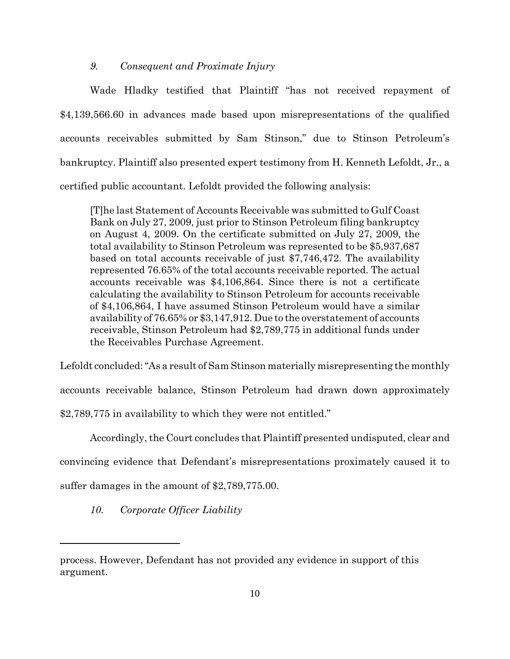### *9. Consequent and Proximate Injury*

Wade Hladky testified that Plaintiff "has not received repayment of \$4,139,566.60 in advances made based upon misrepresentations of the qualified accounts receivables submitted by Sam Stinson," due to Stinson Petroleum's bankruptcy. Plaintiff also presented expert testimony from H. Kenneth Lefoldt, Jr., a certified public accountant. Lefoldt provided the following analysis:

[T]he last Statement of Accounts Receivable was submitted to Gulf Coast Bank on July 27, 2009, just prior to Stinson Petroleum filing bankruptcy on August 4, 2009. On the certificate submitted on July 27, 2009, the total availability to Stinson Petroleum was represented to be \$5,937,687 based on total accounts receivable of just \$7,746,472. The availability represented 76.65% of the total accounts receivable reported. The actual accounts receivable was \$4,106,864. Since there is not a certificate calculating the availability to Stinson Petroleum for accounts receivable of \$4,106,864, I have assumed Stinson Petroleum would have a similar availability of 76.65% or \$3,147,912. Due to the overstatement of accounts receivable, Stinson Petroleum had \$2,789,775 in additional funds under the Receivables Purchase Agreement.

Lefoldt concluded: "As a result of Sam Stinson materially misrepresenting the monthly accounts receivable balance, Stinson Petroleum had drawn down approximately \$2,789,775 in availability to which they were not entitled."

Accordingly, the Court concludes that Plaintiff presented undisputed, clear and

convincing evidence that Defendant's misrepresentations proximately caused it to

suffer damages in the amount of \$2,789,775.00.

*10. Corporate Officer Liability*

process. However, Defendant has not provided any evidence in support of this argument.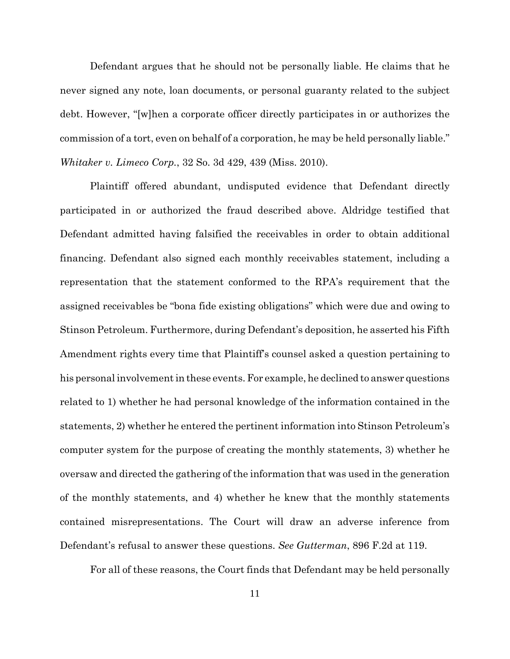Defendant argues that he should not be personally liable. He claims that he never signed any note, loan documents, or personal guaranty related to the subject debt. However, "[w]hen a corporate officer directly participates in or authorizes the commission of a tort, even on behalf of a corporation, he may be held personally liable." *Whitaker v. Limeco Corp.*, 32 So. 3d 429, 439 (Miss. 2010).

Plaintiff offered abundant, undisputed evidence that Defendant directly participated in or authorized the fraud described above. Aldridge testified that Defendant admitted having falsified the receivables in order to obtain additional financing. Defendant also signed each monthly receivables statement, including a representation that the statement conformed to the RPA's requirement that the assigned receivables be "bona fide existing obligations" which were due and owing to Stinson Petroleum. Furthermore, during Defendant's deposition, he asserted his Fifth Amendment rights every time that Plaintiff's counsel asked a question pertaining to his personal involvement in these events. For example, he declined to answer questions related to 1) whether he had personal knowledge of the information contained in the statements, 2) whether he entered the pertinent information into Stinson Petroleum's computer system for the purpose of creating the monthly statements, 3) whether he oversaw and directed the gathering of the information that was used in the generation of the monthly statements, and 4) whether he knew that the monthly statements contained misrepresentations. The Court will draw an adverse inference from Defendant's refusal to answer these questions. *See Gutterman*, 896 F.2d at 119.

For all of these reasons, the Court finds that Defendant may be held personally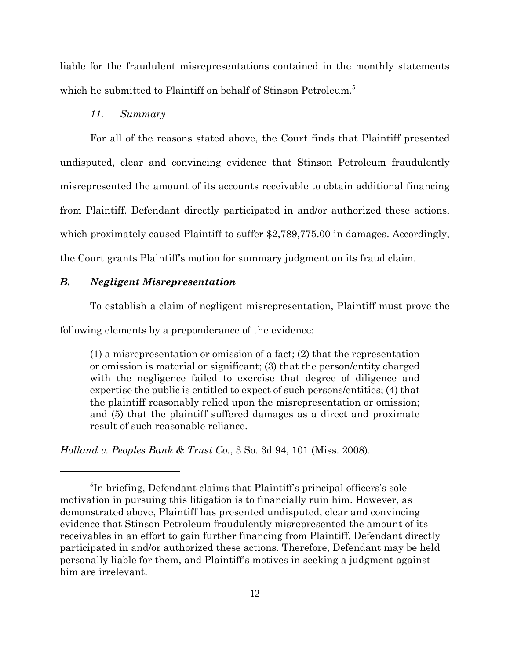liable for the fraudulent misrepresentations contained in the monthly statements which he submitted to Plaintiff on behalf of Stinson Petroleum.<sup>5</sup>

# *11. Summary*

For all of the reasons stated above, the Court finds that Plaintiff presented undisputed, clear and convincing evidence that Stinson Petroleum fraudulently misrepresented the amount of its accounts receivable to obtain additional financing from Plaintiff. Defendant directly participated in and/or authorized these actions, which proximately caused Plaintiff to suffer \$2,789,775.00 in damages. Accordingly, the Court grants Plaintiff's motion for summary judgment on its fraud claim.

# *B. Negligent Misrepresentation*

To establish a claim of negligent misrepresentation, Plaintiff must prove the

following elements by a preponderance of the evidence:

(1) a misrepresentation or omission of a fact; (2) that the representation or omission is material or significant; (3) that the person/entity charged with the negligence failed to exercise that degree of diligence and expertise the public is entitled to expect of such persons/entities; (4) that the plaintiff reasonably relied upon the misrepresentation or omission; and (5) that the plaintiff suffered damages as a direct and proximate result of such reasonable reliance.

*Holland v. Peoples Bank & Trust Co.*, 3 So. 3d 94, 101 (Miss. 2008).

<sup>&</sup>lt;sup>5</sup>In briefing, Defendant claims that Plaintiff's principal officers's sole motivation in pursuing this litigation is to financially ruin him. However, as demonstrated above, Plaintiff has presented undisputed, clear and convincing evidence that Stinson Petroleum fraudulently misrepresented the amount of its receivables in an effort to gain further financing from Plaintiff. Defendant directly participated in and/or authorized these actions. Therefore, Defendant may be held personally liable for them, and Plaintiff's motives in seeking a judgment against him are irrelevant.